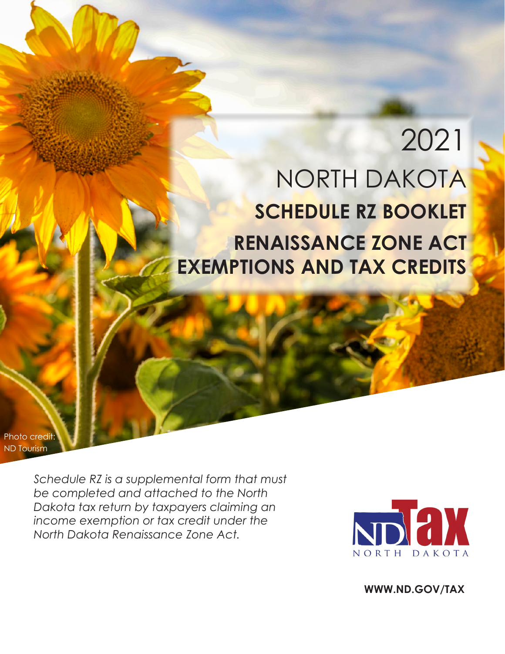# 2021 NORTH DAKOTA **SCHEDULE RZ BOOKLET RENAISSANCE ZONE ACT EXEMPTIONS AND TAX CREDITS**

Photo credit: ND Tourism

> *Schedule RZ is a supplemental form that must be completed and attached to the North Dakota tax return by taxpayers claiming an income exemption or tax credit under the North Dakota Renaissance Zone Act.*



**WWW.ND.GOV/TAX**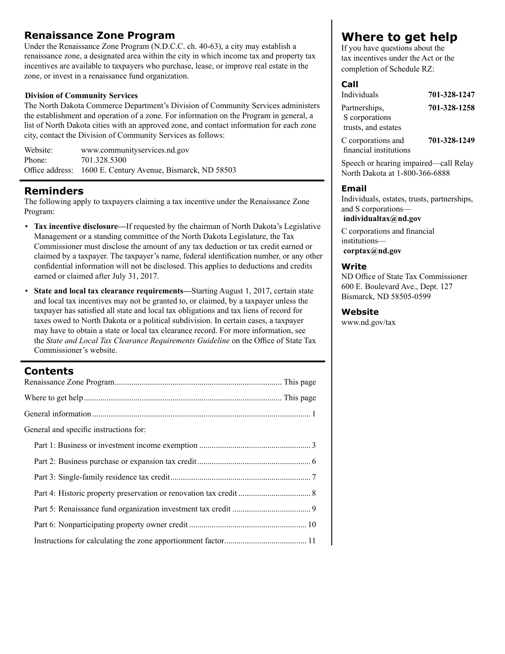### **Renaissance Zone Program**

Under the Renaissance Zone Program (N.D.C.C. ch. 40-63), a city may establish a renaissance zone, a designated area within the city in which income tax and property tax incentives are available to taxpayers who purchase, lease, or improve real estate in the zone, or invest in a renaissance fund organization.

### **Division of Community Services**

The North Dakota Commerce Department's Division of Community Services administers the establishment and operation of a zone. For information on the Program in general, a list of North Dakota cities with an approved zone, and contact information for each zone city, contact the Division of Community Services as follows:

| Website: | www.communityservices.nd.gov                               |
|----------|------------------------------------------------------------|
| Phone:   | 701.328.5300                                               |
|          | Office address: 1600 E. Century Avenue, Bismarck, ND 58503 |

### **Reminders**

The following apply to taxpayers claiming a tax incentive under the Renaissance Zone Program:

- **Tax incentive disclosure—**If requested by the chairman of North Dakota's Legislative Management or a standing committee of the North Dakota Legislature, the Tax Commissioner must disclose the amount of any tax deduction or tax credit earned or claimed by a taxpayer. The taxpayer's name, federal identification number, or any other confidential information will not be disclosed. This applies to deductions and credits earned or claimed after July 31, 2017.
- **State and local tax clearance requirements—**Starting August 1, 2017, certain state and local tax incentives may not be granted to, or claimed, by a taxpayer unless the taxpayer has satisfied all state and local tax obligations and tax liens of record for taxes owed to North Dakota or a political subdivision. In certain cases, a taxpayer may have to obtain a state or local tax clearance record. For more information, see the *State and Local Tax Clearance Requirements Guideline* on the Office of State Tax Commissioner's website.

### **Contents**

| General and specific instructions for: |
|----------------------------------------|
|                                        |
|                                        |
|                                        |
|                                        |
|                                        |
|                                        |
|                                        |

### **Where to get help**

If you have questions about the tax incentives under the Act or the completion of Schedule RZ:

### **Call**

| Individuals         | 701-328-1247                                                                             |
|---------------------|------------------------------------------------------------------------------------------|
| Partnerships,       | 701-328-1258                                                                             |
| S corporations      |                                                                                          |
| trusts, and estates |                                                                                          |
|                     | $\begin{array}{c} \n\bullet \bullet \bullet \bullet \bullet \bullet \bullet \end{array}$ |

C corporations and **701-328-1249** financial institutions

Speech or hearing impaired—call Relay North Dakota at 1-800-366-6888

### **Email**

Individuals, estates, trusts, partnerships, and S corporations—

### **individualtax@nd.gov**

C corporations and financial institutions **corptax@nd.gov**

### **Write**

ND Office of State Tax Commissioner 600 E. Boulevard Ave., Dept. 127 Bismarck, ND 58505-0599

### **Website**

www.nd.gov/tax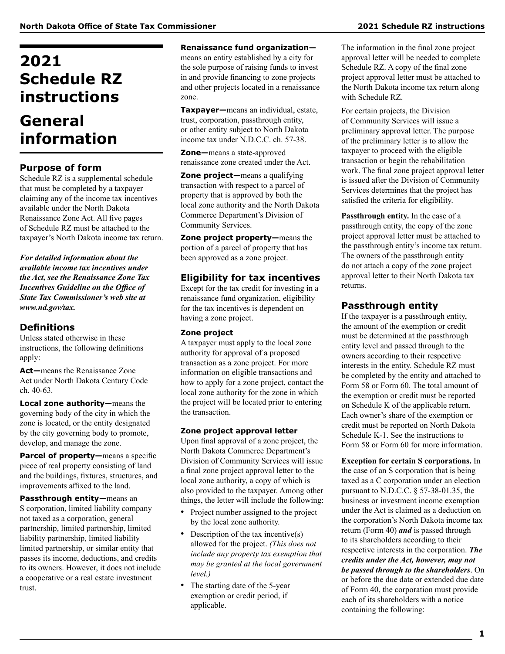## **2021 Schedule RZ instructions**

## **General information**

### **Purpose of form**

Schedule RZ is a supplemental schedule that must be completed by a taxpayer claiming any of the income tax incentives available under the North Dakota Renaissance Zone Act. All five pages of Schedule RZ must be attached to the taxpayer's North Dakota income tax return.

*For detailed information about the available income tax incentives under the Act, see the Renaissance Zone Tax Incentives Guideline on the Office of State Tax Commissioner's web site at www.nd.gov/tax.*

### **Definitions**

Unless stated otherwise in these instructions, the following definitions apply:

**Act—**means the Renaissance Zone Act under North Dakota Century Code ch. 40 -63.

**Local zone authority—**means the governing body of the city in which the zone is located, or the entity designated by the city governing body to promote, develop, and manage the zone.

Parcel of property-means a specific piece of real property consisting of land and the buildings, fixtures, structures, and improvements affixed to the land.

**Passthrough entity—**means an S corporation, limited liability company not taxed as a corporation, general partnership, limited partnership, limited liability partnership, limited liability limited partnership, or similar entity that passes its income, deductions, and credits to its owners. However, it does not include a cooperative or a real estate investment trust.

#### **Renaissance fund organization—**

means an entity established by a city for the sole purpose of raising funds to invest in and provide financing to zone projects and other projects located in a renaissance zone.

**Taxpayer—**means an individual, estate, trust, corporation, passthrough entity, or other entity subject to North Dakota income tax under N.D.C.C. ch. 57-38.

**Zone—**means a state-approved renaissance zone created under the Act.

**Zone project—**means a qualifying transaction with respect to a parcel of property that is approved by both the local zone authority and the North Dakota Commerce Department's Division of Community Services.

**Zone project property—**means the portion of a parcel of property that has been approved as a zone project.

### **Eligibility for tax incentives**

Except for the tax credit for investing in a renaissance fund organization, eligibility for the tax incentives is dependent on having a zone project.

### **Zone project**

A taxpayer must apply to the local zone authority for approval of a proposed transaction as a zone project. For more information on eligible transactions and how to apply for a zone project, contact the local zone authority for the zone in which the project will be located prior to entering the transaction.

### **Zone project approval letter**

Upon final approval of a zone project, the North Dakota Commerce Department's Division of Community Services will issue a final zone project approval letter to the local zone authority, a copy of which is also provided to the taxpayer. Among other things, the letter will include the following:

- Project number assigned to the project by the local zone authority.
- Description of the tax incentive(s) allowed for the project. *(This does not include any property tax exemption that may be granted at the local government level.)*
- The starting date of the 5-year exemption or credit period, if applicable.

The information in the final zone project approval letter will be needed to complete Schedule RZ. A copy of the final zone project approval letter must be attached to the North Dakota income tax return along with Schedule RZ.

For certain projects, the Division of Community Services will issue a preliminary approval letter. The purpose of the preliminary letter is to allow the taxpayer to proceed with the eligible transaction or begin the rehabilitation work. The final zone project approval letter is issued after the Division of Community Services determines that the project has satisfied the criteria for eligibility.

**Passthrough entity.** In the case of a passthrough entity, the copy of the zone project approval letter must be attached to the passthrough entity's income tax return. The owners of the passthrough entity do not attach a copy of the zone project approval letter to their North Dakota tax returns.

### **Passthrough entity**

If the taxpayer is a passthrough entity, the amount of the exemption or credit must be determined at the passthrough entity level and passed through to the owners according to their respective interests in the entity. Schedule RZ must be completed by the entity and attached to Form 58 or Form 60. The total amount of the exemption or credit must be reported on Schedule K of the applicable return. Each owner's share of the exemption or credit must be reported on North Dakota Schedule K-1. See the instructions to Form 58 or Form 60 for more information.

**Exception for certain S corporations.** In the case of an S corporation that is being taxed as a C corporation under an election pursuant to N.D.C.C. § 57-38-01.35, the business or investment income exemption under the Act is claimed as a deduction on the corporation's North Dakota income tax return (Form 40) *and* is passed through to its shareholders according to their respective interests in the corporation. *The credits under the Act, however, may not be passed through to the shareholders*. On or before the due date or extended due date of Form 40, the corporation must provide each of its shareholders with a notice containing the following: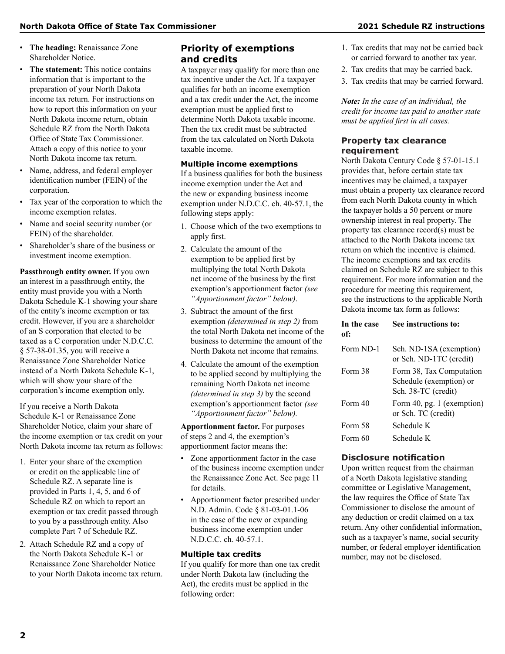- **The heading:** Renaissance Zone Shareholder Notice.
- **The statement:** This notice contains information that is important to the preparation of your North Dakota income tax return. For instructions on how to report this information on your North Dakota income return, obtain Schedule RZ from the North Dakota Office of State Tax Commissioner. Attach a copy of this notice to your North Dakota income tax return.
- Name, address, and federal employer identification number (FEIN) of the corporation.
- Tax year of the corporation to which the income exemption relates.
- Name and social security number (or FEIN) of the shareholder.
- Shareholder's share of the business or investment income exemption.

**Passthrough entity owner.** If you own an interest in a passthrough entity, the entity must provide you with a North Dakota Schedule K-1 showing your share of the entity's income exemption or tax credit. However, if you are a shareholder of an S corporation that elected to be taxed as a C corporation under N.D.C.C. § 57-38-01.35, you will receive a Renaissance Zone Shareholder Notice instead of a North Dakota Schedule K-1, which will show your share of the corporation's income exemption only.

If you receive a North Dakota Schedule K-1 or Renaissance Zone Shareholder Notice, claim your share of the income exemption or tax credit on your North Dakota income tax return as follows:

- 1. Enter your share of the exemption or credit on the applicable line of Schedule RZ. A separate line is provided in Parts 1, 4, 5, and 6 of Schedule RZ on which to report an exemption or tax credit passed through to you by a passthrough entity. Also complete Part 7 of Schedule RZ.
- 2. Attach Schedule RZ and a copy of the North Dakota Schedule K-1 or Renaissance Zone Shareholder Notice to your North Dakota income tax return.

### **Priority of exemptions and credits**

A taxpayer may qualify for more than one tax incentive under the Act. If a taxpayer qualifies for both an income exemption and a tax credit under the Act, the income exemption must be applied first to determine North Dakota taxable income. Then the tax credit must be subtracted from the tax calculated on North Dakota taxable income.

#### **Multiple income exemptions**

If a business qualifies for both the business income exemption under the Act and the new or expanding business income exemption under N.D.C.C. ch. 40-57.1, the following steps apply:

- 1. Choose which of the two exemptions to apply first.
- 2. Calculate the amount of the exemption to be applied first by multiplying the total North Dakota net income of the business by the first exemption's apportionment factor *(see "Apportionment factor" below)*.
- 3. Subtract the amount of the first exemption *(determined in step 2)* from the total North Dakota net income of the business to determine the amount of the North Dakota net income that remains.
- 4. Calculate the amount of the exemption to be applied second by multiplying the remaining North Dakota net income *(determined in step 3)* by the second exemption's apportionment factor *(see "Apportionment factor" below).*

**Apportionment factor.** For purposes of steps 2 and 4, the exemption's apportionment factor means the:

- Zone apportionment factor in the case of the business income exemption under the Renaissance Zone Act. See page 11 for details.
- Apportionment factor prescribed under N.D. Admin. Code § 81-03-01.1-06 in the case of the new or expanding business income exemption under N.D.C.C. ch. 40-57.1.

### **Multiple tax credits**

If you qualify for more than one tax credit under North Dakota law (including the Act), the credits must be applied in the following order:

- 1. Tax credits that may not be carried back or carried forward to another tax year.
- 2. Tax credits that may be carried back.
- 3. Tax credits that may be carried forward.

*Note: In the case of an individual, the credit for income tax paid to another state must be applied first in all cases.*

### **Property tax clearance requirement**

North Dakota Century Code § 57-01-15.1 provides that, before certain state tax incentives may be claimed, a taxpayer must obtain a property tax clearance record from each North Dakota county in which the taxpayer holds a 50 percent or more ownership interest in real property. The property tax clearance record(s) must be attached to the North Dakota income tax return on which the incentive is claimed. The income exemptions and tax credits claimed on Schedule RZ are subject to this requirement. For more information and the procedure for meeting this requirement, see the instructions to the applicable North Dakota income tax form as follows:

### **In the case See instructions to: of:**

| Form ND-1 | Sch. ND-1SA (exemption)<br>or Sch. ND-1TC (credit)                         |
|-----------|----------------------------------------------------------------------------|
| Form 38   | Form 38, Tax Computation<br>Schedule (exemption) or<br>Sch. 38-TC (credit) |
| Form 40   | Form 40, pg. 1 (exemption)<br>or Sch. TC (credit)                          |
| Form 58   | Schedule K-                                                                |
| Form 60   | Schedule K-                                                                |

### **Disclosure notification**

Upon written request from the chairman of a North Dakota legislative standing committee or Legislative Management, the law requires the Office of State Tax Commissioner to disclose the amount of any deduction or credit claimed on a tax return. Any other confidential information, such as a taxpayer's name, social security number, or federal employer identification number, may not be disclosed.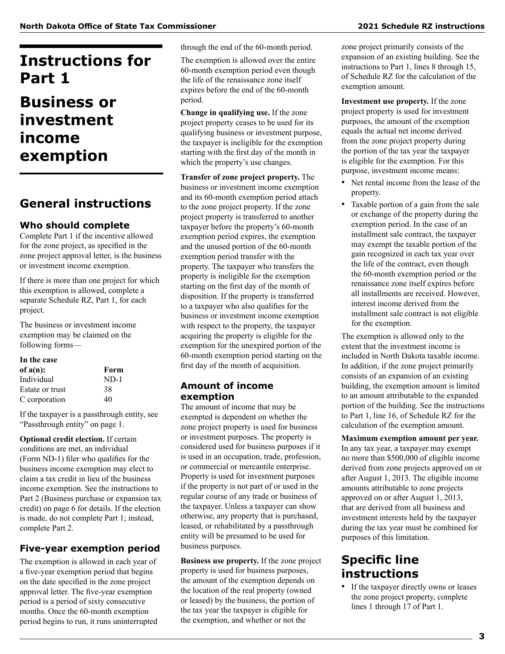## **Instructions for Part 1**

## **Business or investment income exemption**

### **General instructions**

### **Who should complete**

Complete Part 1 if the incentive allowed for the zone project, as specified in the zone project approval letter, is the business or investment income exemption.

If there is more than one project for which this exemption is allowed, complete a separate Schedule RZ, Part 1, for each project.

The business or investment income exemption may be claimed on the following forms—

### **In the case**

| Form   |
|--------|
| $ND-1$ |
| 38     |
| 40     |
|        |

If the taxpayer is a passthrough entity, see "Passthrough entity" on page 1.

**Optional credit election.** If certain conditions are met, an individual (Form ND-1) filer who qualifies for the business income exemption may elect to claim a tax credit in lieu of the business income exemption. See the instructions to Part 2 (Business purchase or expansion tax credit) on page 6 for details. If the election is made, do not complete Part 1; instead, complete Part 2.

### **Five-year exemption period**

The exemption is allowed in each year of a five-year exemption period that begins on the date specified in the zone project approval letter. The five-year exemption period is a period of sixty consecutive months. Once the 60-month exemption period begins to run, it runs uninterrupted through the end of the 60-month period.

The exemption is allowed over the entire 60-month exemption period even though the life of the renaissance zone itself expires before the end of the 60-month period.

**Change in qualifying use.** If the zone project property ceases to be used for its qualifying business or investment purpose, the taxpayer is ineligible for the exemption starting with the first day of the month in which the property's use changes.

**Transfer of zone project property.** The business or investment income exemption and its 60-month exemption period attach to the zone project property. If the zone project property is transferred to another taxpayer before the property's 60-month exemption period expires, the exemption and the unused portion of the 60-month exemption period transfer with the property. The taxpayer who transfers the property is ineligible for the exemption starting on the first day of the month of disposition. If the property is transferred to a taxpayer who also qualifies for the business or investment income exemption with respect to the property, the taxpayer acquiring the property is eligible for the exemption for the unexpired portion of the 60-month exemption period starting on the first day of the month of acquisition.

### **Amount of income exemption**

The amount of income that may be exempted is dependent on whether the zone project property is used for business or investment purposes. The property is considered used for business purposes if it is used in an occupation, trade, profession, or commercial or mercantile enterprise. Property is used for investment purposes if the property is not part of or used in the regular course of any trade or business of the taxpayer. Unless a taxpayer can show otherwise, any property that is purchased, leased, or rehabilitated by a passthrough entity will be presumed to be used for business purposes.

**Business use property.** If the zone project property is used for business purposes, the amount of the exemption depends on the location of the real property (owned or leased) by the business, the portion of the tax year the taxpayer is eligible for the exemption, and whether or not the

zone project primarily consists of the expansion of an existing building. See the instructions to Part 1, lines 8 through 15, of Schedule RZ for the calculation of the exemption amount.

**Investment use property.** If the zone project property is used for investment purposes, the amount of the exemption equals the actual net income derived from the zone project property during the portion of the tax year the taxpayer is eligible for the exemption. For this purpose, investment income means:

- Net rental income from the lease of the property.
- Taxable portion of a gain from the sale or exchange of the property during the exemption period. In the case of an installment sale contract, the taxpayer may exempt the taxable portion of the gain recognized in each tax year over the life of the contract, even though the 60-month exemption period or the renaissance zone itself expires before all installments are received. However, interest income derived from the installment sale contract is not eligible for the exemption.

The exemption is allowed only to the extent that the investment income is included in North Dakota taxable income. In addition, if the zone project primarily consists of an expansion of an existing building, the exemption amount is limited to an amount attributable to the expanded portion of the building. See the instructions to Part 1, line 16, of Schedule RZ for the calculation of the exemption amount.

**Maximum exemption amount per year.**  In any tax year, a taxpayer may exempt no more than \$500,000 of eligible income derived from zone projects approved on or after August 1, 2013. The eligible income amounts attributable to zone projects approved on or after August 1, 2013, that are derived from all business and investment interests held by the taxpayer during the tax year must be combined for purposes of this limitation.

### **Specific line instructions**

• If the taxpayer directly owns or leases the zone project property, complete lines 1 through 17 of Part 1.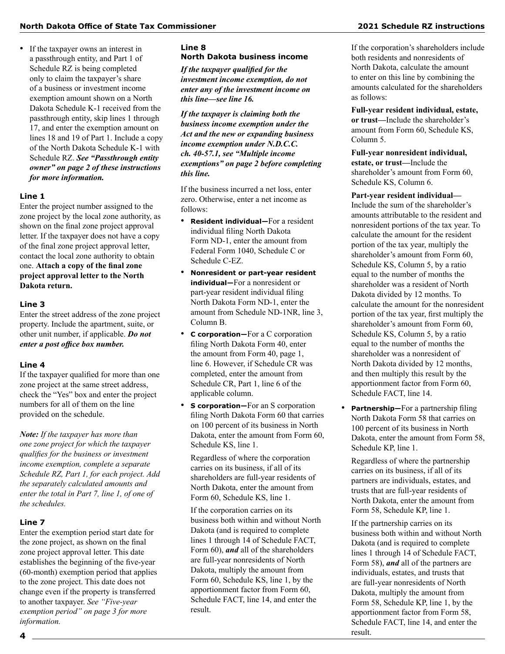• If the taxpayer owns an interest in a passthrough entity, and Part 1 of Schedule RZ is being completed only to claim the taxpayer's share of a business or investment income exemption amount shown on a North Dakota Schedule K-1 received from the passthrough entity, skip lines 1 through 17, and enter the exemption amount on lines 18 and 19 of Part 1. Include a copy of the North Dakota Schedule K-1 with Schedule RZ. *See "Passthrough entity owner" on page 2 of these instructions for more information.*

### **Line 1**

Enter the project number assigned to the zone project by the local zone authority, as shown on the final zone project approval letter. If the taxpayer does not have a copy of the final zone project approval letter, contact the local zone authority to obtain one. **Attach a copy of the final zone project approval letter to the North Dakota return.**

#### **Line 3**

Enter the street address of the zone project property. Include the apartment, suite, or other unit number, if applicable. *Do not enter a post office box number.*

#### **Line 4**

If the taxpayer qualified for more than one zone project at the same street address, check the "Yes" box and enter the project numbers for all of them on the line provided on the schedule.

*Note: If the taxpayer has more than one zone project for which the taxpayer qualifies for the business or investment income exemption, complete a separate Schedule RZ, Part 1, for each project. Add the separately calculated amounts and enter the total in Part 7, line 1, of one of the schedules.*

### **Line 7**

Enter the exemption period start date for the zone project, as shown on the final zone project approval letter. This date establishes the beginning of the five-year (60-month) exemption period that applies to the zone project. This date does not change even if the property is transferred to another taxpayer. *See "Five-year exemption period" on page 3 for more information.*

### **Line 8 North Dakota business income**

*If the taxpayer qualified for the investment income exemption, do not enter any of the investment income on this line—see line 16.*

*If the taxpayer is claiming both the business income exemption under the Act and the new or expanding business income exemption under N.D.C.C. ch. 40‑57.1, see "Multiple income exemptions" on page 2 before completing this line.*

If the business incurred a net loss, enter zero. Otherwise, enter a net income as follows:

- **Resident individual—**For a resident individual filing North Dakota Form ND-1, enter the amount from Federal Form 1040, Schedule C or Schedule C-EZ.
- **Nonresident or part-year resident individual—**For a nonresident or part-year resident individual filing North Dakota Form ND-1, enter the amount from Schedule ND-1NR, line 3, Column B.
- **C corporation—**For a C corporation filing North Dakota Form 40, enter the amount from Form 40, page 1, line 6. However, if Schedule CR was completed, enter the amount from Schedule CR, Part 1, line 6 of the applicable column.
- **S corporation—**For an S corporation filing North Dakota Form 60 that carries on 100 percent of its business in North Dakota, enter the amount from Form 60, Schedule KS, line 1.

Regardless of where the corporation carries on its business, if all of its shareholders are full-year residents of North Dakota, enter the amount from Form 60, Schedule KS, line 1.

If the corporation carries on its business both within and without North Dakota (and is required to complete lines 1 through 14 of Schedule FACT, Form 60), *and* all of the shareholders are full-year nonresidents of North Dakota, multiply the amount from Form 60, Schedule KS, line 1, by the apportionment factor from Form 60, Schedule FACT, line 14, and enter the result.

If the corporation's shareholders include both residents and nonresidents of North Dakota, calculate the amount to enter on this line by combining the amounts calculated for the shareholders as follows:

**Full-year resident individual, estate, or trust—**Include the shareholder's amount from Form 60, Schedule KS, Column 5.

**Full-year nonresident individual, estate, or trust—**Include the shareholder's amount from Form 60, Schedule KS, Column 6.

**Part-year resident individual—** Include the sum of the shareholder's amounts attributable to the resident and nonresident portions of the tax year. To calculate the amount for the resident portion of the tax year, multiply the shareholder's amount from Form 60, Schedule KS, Column 5, by a ratio equal to the number of months the shareholder was a resident of North Dakota divided by 12 months. To calculate the amount for the nonresident portion of the tax year, first multiply the shareholder's amount from Form 60, Schedule KS, Column 5, by a ratio equal to the number of months the shareholder was a nonresident of North Dakota divided by 12 months, and then multiply this result by the apportionment factor from Form 60, Schedule FACT, line 14.

• **Partnership—**For a partnership filing North Dakota Form 58 that carries on 100 percent of its business in North Dakota, enter the amount from Form 58, Schedule KP, line 1.

Regardless of where the partnership carries on its business, if all of its partners are individuals, estates, and trusts that are full-year residents of North Dakota, enter the amount from Form 58, Schedule KP, line 1.

If the partnership carries on its business both within and without North Dakota (and is required to complete lines 1 through 14 of Schedule FACT, Form 58), *and* all of the partners are individuals, estates, and trusts that are full-year nonresidents of North Dakota, multiply the amount from Form 58, Schedule KP, line 1, by the apportionment factor from Form 58, Schedule FACT, line 14, and enter the result.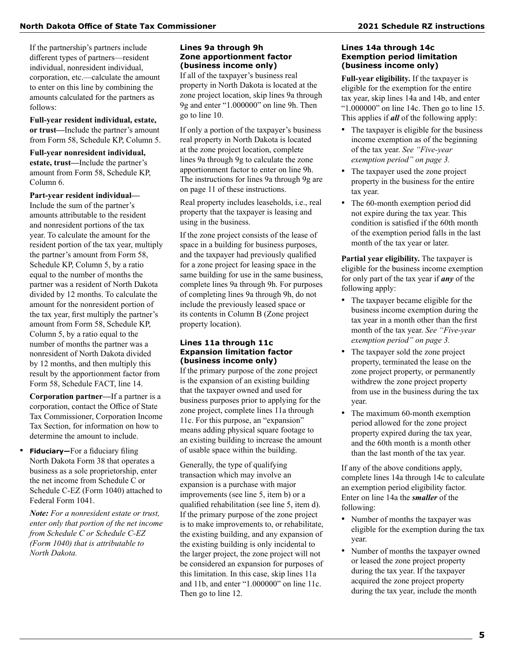If the partnership's partners include different types of partners—resident individual, nonresident individual, corporation, etc.—calculate the amount to enter on this line by combining the amounts calculated for the partners as follows:

**Full-year resident individual, estate, or trust—**Include the partner's amount from Form 58, Schedule KP, Column 5.

**Full-year nonresident individual, estate, trust—**Include the partner's amount from Form 58, Schedule KP, Column 6.

**Part-year resident individual—** Include the sum of the partner's amounts attributable to the resident and nonresident portions of the tax year. To calculate the amount for the resident portion of the tax year, multiply the partner's amount from Form 58, Schedule KP, Column 5, by a ratio equal to the number of months the partner was a resident of North Dakota divided by 12 months. To calculate the amount for the nonresident portion of the tax year, first multiply the partner's amount from Form 58, Schedule KP, Column 5, by a ratio equal to the number of months the partner was a nonresident of North Dakota divided by 12 months, and then multiply this result by the apportionment factor from Form 58, Schedule FACT, line 14.

**Corporation partner—**If a partner is a corporation, contact the Office of State Tax Commissioner, Corporation Income Tax Section, for information on how to determine the amount to include.

**Fiduciary**—For a fiduciary filing North Dakota Form 38 that operates a business as a sole proprietorship, enter the net income from Schedule C or Schedule C-EZ (Form 1040) attached to Federal Form 1041.

*Note: For a nonresident estate or trust, enter only that portion of the net income from Schedule C or Schedule C-EZ (Form 1040) that is attributable to North Dakota.*

### **Lines 9a through 9h Zone apportionment factor (business income only)**

If all of the taxpayer's business real property in North Dakota is located at the zone project location, skip lines 9a through 9g and enter "1.000000" on line 9h. Then go to line 10.

If only a portion of the taxpayer's business real property in North Dakota is located at the zone project location, complete lines 9a through 9g to calculate the zone apportionment factor to enter on line 9h. The instructions for lines 9a through 9g are on page 11 of these instructions.

Real property includes leaseholds, i.e., real property that the taxpayer is leasing and using in the business.

If the zone project consists of the lease of space in a building for business purposes, and the taxpayer had previously qualified for a zone project for leasing space in the same building for use in the same business, complete lines 9a through 9h. For purposes of completing lines 9a through 9h, do not include the previously leased space or its contents in Column B (Zone project property location).

#### **Lines 11a through 11c Expansion limitation factor (business income only)**

If the primary purpose of the zone project is the expansion of an existing building that the taxpayer owned and used for business purposes prior to applying for the zone project, complete lines 11a through 11c. For this purpose, an "expansion" means adding physical square footage to an existing building to increase the amount of usable space within the building.

Generally, the type of qualifying transaction which may involve an expansion is a purchase with major improvements (see line 5, item b) or a qualified rehabilitation (see line 5, item d). If the primary purpose of the zone project is to make improvements to, or rehabilitate, the existing building, and any expansion of the existing building is only incidental to the larger project, the zone project will not be considered an expansion for purposes of this limitation. In this case, skip lines 11a and 11b, and enter "1.000000" on line 11c. Then go to line 12.

#### **Lines 14a through 14c Exemption period limitation (business income only)**

**Full-year eligibility.** If the taxpayer is eligible for the exemption for the entire tax year, skip lines 14a and 14b, and enter "1.000000" on line 14c. Then go to line 15. This applies if *all* of the following apply:

- The taxpayer is eligible for the business income exemption as of the beginning of the tax year. *See "Five-year exemption period" on page 3.*
- The taxpayer used the zone project property in the business for the entire tax year.
- The 60-month exemption period did not expire during the tax year. This condition is satisfied if the 60th month of the exemption period falls in the last month of the tax year or later.

**Partial year eligibility.** The taxpayer is eligible for the business income exemption for only part of the tax year if *any* of the following apply:

- The taxpayer became eligible for the business income exemption during the tax year in a month other than the first month of the tax year. *See "Five-year exemption period" on page 3.*
- The taxpayer sold the zone project property, terminated the lease on the zone project property, or permanently withdrew the zone project property from use in the business during the tax year.
- The maximum 60-month exemption period allowed for the zone project property expired during the tax year, and the 60th month is a month other than the last month of the tax year.

If any of the above conditions apply, complete lines 14a through 14c to calculate an exemption period eligibility factor. Enter on line 14a the *smaller* of the following:

- Number of months the taxpayer was eligible for the exemption during the tax year.
- Number of months the taxpayer owned or leased the zone project property during the tax year. If the taxpayer acquired the zone project property during the tax year, include the month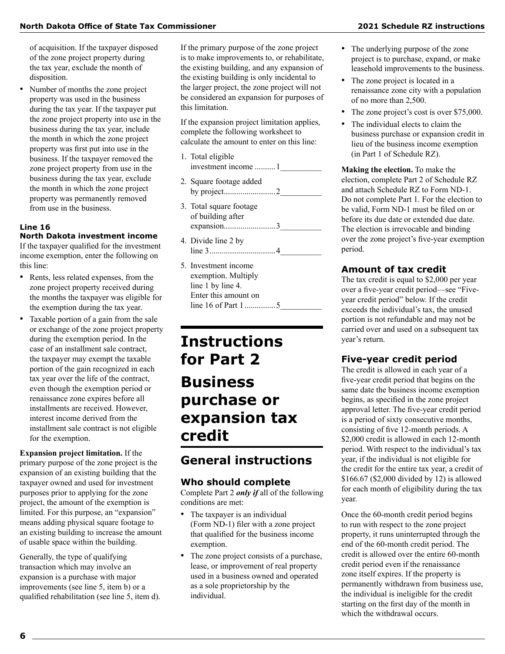of acquisition. If the taxpayer disposed of the zone project property during the tax year, exclude the month of disposition.

• Number of months the zone project property was used in the business during the tax year. If the taxpayer put the zone project property into use in the business during the tax year, include the month in which the zone project property was first put into use in the business. If the taxpayer removed the zone project property from use in the business during the tax year, exclude the month in which the zone project property was permanently removed from use in the business.

### **Line 16 North Dakota investment income**

If the taxpayer qualified for the investment income exemption, enter the following on this line:

- Rents, less related expenses, from the zone project property received during the months the taxpayer was eligible for the exemption during the tax year.
- Taxable portion of a gain from the sale or exchange of the zone project property during the exemption period. In the case of an installment sale contract, the taxpayer may exempt the taxable portion of the gain recognized in each tax year over the life of the contract, even though the exemption period or renaissance zone expires before all installments are received. However, interest income derived from the installment sale contract is not eligible for the exemption.

**Expansion project limitation.** If the primary purpose of the zone project is the expansion of an existing building that the taxpayer owned and used for investment purposes prior to applying for the zone project, the amount of the exemption is limited. For this purpose, an "expansion" means adding physical square footage to an existing building to increase the amount of usable space within the building.

Generally, the type of qualifying transaction which may involve an expansion is a purchase with major improvements (see line 5, item b) or a qualified rehabilitation (see line 5, item d). If the primary purpose of the zone project is to make improvements to, or rehabilitate, the existing building, and any expansion of the existing building is only incidental to the larger project, the zone project will not be considered an expansion for purposes of this limitation.

If the expansion project limitation applies, complete the following worksheet to calculate the amount to enter on this line:

- 1. Total eligible investment income .......... 1
- 2. Square footage added by project.........................2\_\_\_\_\_\_\_\_\_\_
- 3. Total square footage of building after expansion.........................3\_\_\_\_\_\_\_\_\_\_
- 4. Divide line 2 by line 3................................4\_\_\_\_\_\_\_\_\_\_
- 5. Investment income exemption. Multiply line 1 by line 4. Enter this amount on line 16 of Part 1...............5\_\_\_\_\_\_\_\_\_\_

## **Instructions for Part 2 Business purchase or expansion tax credit**

### **General instructions**

### **Who should complete**

Complete Part 2 *only if* all of the following conditions are met:

- The taxpayer is an individual (Form ND-1) filer with a zone project that qualified for the business income exemption.
- The zone project consists of a purchase, lease, or improvement of real property used in a business owned and operated as a sole proprietorship by the individual.
- The underlying purpose of the zone project is to purchase, expand, or make leasehold improvements to the business.
- The zone project is located in a renaissance zone city with a population of no more than 2,500.
- The zone project's cost is over \$75,000.
- The individual elects to claim the business purchase or expansion credit in lieu of the business income exemption (in Part 1 of Schedule RZ).

**Making the election.** To make the election, complete Part 2 of Schedule RZ and attach Schedule RZ to Form ND-1. Do not complete Part 1. For the election to be valid, Form ND-1 must be filed on or before its due date or extended due date. The election is irrevocable and binding over the zone project's five-year exemption period.

### **Amount of tax credit**

The tax credit is equal to \$2,000 per year over a five-year credit period—see "Fiveyear credit period" below. If the credit exceeds the individual's tax, the unused portion is not refundable and may not be carried over and used on a subsequent tax year's return.

### **Five-year credit period**

The credit is allowed in each year of a five-year credit period that begins on the same date the business income exemption begins, as specified in the zone project approval letter. The five-year credit period is a period of sixty consecutive months, consisting of five 12-month periods. A \$2,000 credit is allowed in each 12-month period. With respect to the individual's tax year, if the individual is not eligible for the credit for the entire tax year, a credit of \$166.67 (\$2,000 divided by 12) is allowed for each month of eligibility during the tax year.

Once the 60-month credit period begins to run with respect to the zone project property, it runs uninterrupted through the end of the 60-month credit period. The credit is allowed over the entire 60-month credit period even if the renaissance zone itself expires. If the property is permanently withdrawn from business use, the individual is ineligible for the credit starting on the first day of the month in which the withdrawal occurs.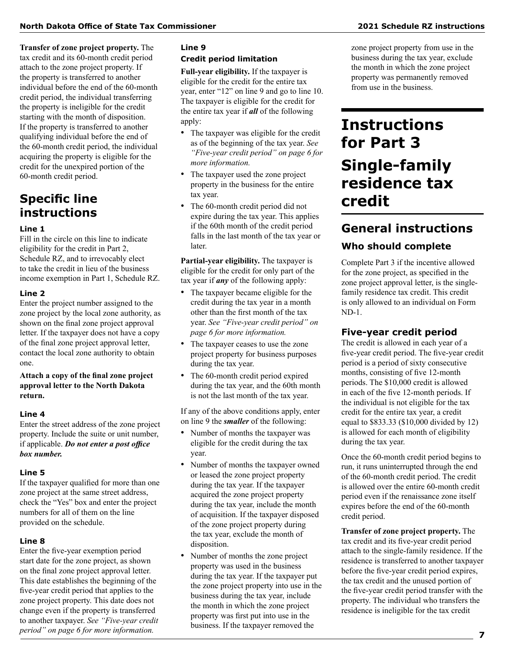**Transfer of zone project property.** The tax credit and its 60-month credit period attach to the zone project property. If the property is transferred to another individual before the end of the 60-month credit period, the individual transferring the property is ineligible for the credit starting with the month of disposition. If the property is transferred to another qualifying individual before the end of the 60-month credit period, the individual acquiring the property is eligible for the credit for the unexpired portion of the 60-month credit period.

### **Specific line instructions**

### **Line 1**

Fill in the circle on this line to indicate eligibility for the credit in Part 2, Schedule RZ, and to irrevocably elect to take the credit in lieu of the business income exemption in Part 1, Schedule RZ.

### **Line 2**

Enter the project number assigned to the zone project by the local zone authority, as shown on the final zone project approval letter. If the taxpayer does not have a copy of the final zone project approval letter, contact the local zone authority to obtain one.

**Attach a copy of the final zone project approval letter to the North Dakota return.**

### **Line 4**

Enter the street address of the zone project property. Include the suite or unit number, if applicable. *Do not enter a post office box number.*

### **Line 5**

If the taxpayer qualified for more than one zone project at the same street address, check the "Yes" box and enter the project numbers for all of them on the line provided on the schedule.

### **Line 8**

Enter the five-year exemption period start date for the zone project, as shown on the final zone project approval letter. This date establishes the beginning of the five-year credit period that applies to the zone project property. This date does not change even if the property is transferred to another taxpayer. *See "Five-year credit period" on page 6 for more information.*

### **Line 9 Credit period limitation**

**Full-year eligibility.** If the taxpayer is eligible for the credit for the entire tax year, enter "12" on line 9 and go to line 10. The taxpayer is eligible for the credit for the entire tax year if *all* of the following apply:

- The taxpayer was eligible for the credit as of the beginning of the tax year. *See "Five-year credit period" on page 6 for more information.*
- The taxpayer used the zone project property in the business for the entire tax year.
- The 60-month credit period did not expire during the tax year. This applies if the 60th month of the credit period falls in the last month of the tax year or later.

**Partial-year eligibility.** The taxpayer is eligible for the credit for only part of the tax year if *any* of the following apply:

- The taxpayer became eligible for the credit during the tax year in a month other than the first month of the tax year. *See "Five-year credit period" on page 6 for more information.*
- The taxpayer ceases to use the zone project property for business purposes during the tax year.
- The 60-month credit period expired during the tax year, and the 60th month is not the last month of the tax year.

If any of the above conditions apply, enter on line 9 the *smaller* of the following:

- Number of months the taxpayer was eligible for the credit during the tax year.
- Number of months the taxpayer owned or leased the zone project property during the tax year. If the taxpayer acquired the zone project property during the tax year, include the month of acquisition. If the taxpayer disposed of the zone project property during the tax year, exclude the month of disposition.
- Number of months the zone project property was used in the business during the tax year. If the taxpayer put the zone project property into use in the business during the tax year, include the month in which the zone project property was first put into use in the business. If the taxpayer removed the

zone project property from use in the business during the tax year, exclude the month in which the zone project property was permanently removed from use in the business.

## **Instructions for Part 3 Single-family residence tax credit**

## **General instructions**

### **Who should complete**

Complete Part 3 if the incentive allowed for the zone project, as specified in the zone project approval letter, is the singlefamily residence tax credit. This credit is only allowed to an individual on Form ND-1.

### **Five-year credit period**

The credit is allowed in each year of a five-year credit period. The five-year credit period is a period of sixty consecutive months, consisting of five 12-month periods. The \$10,000 credit is allowed in each of the five 12-month periods. If the individual is not eligible for the tax credit for the entire tax year, a credit equal to \$833.33 (\$10,000 divided by 12) is allowed for each month of eligibility during the tax year.

Once the 60-month credit period begins to run, it runs uninterrupted through the end of the 60-month credit period. The credit is allowed over the entire 60-month credit period even if the renaissance zone itself expires before the end of the 60-month credit period.

**Transfer of zone project property.** The tax credit and its five-year credit period attach to the single-family residence. If the residence is transferred to another taxpayer before the five-year credit period expires, the tax credit and the unused portion of the five-year credit period transfer with the property. The individual who transfers the residence is ineligible for the tax credit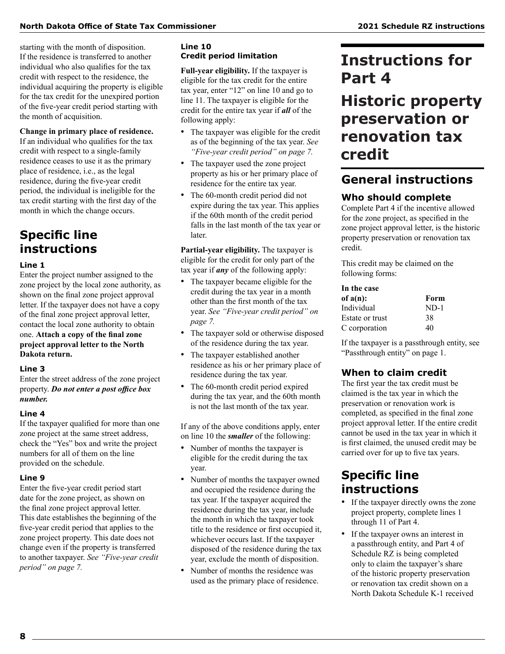starting with the month of disposition. If the residence is transferred to another individual who also qualifies for the tax credit with respect to the residence, the individual acquiring the property is eligible for the tax credit for the unexpired portion of the five-year credit period starting with the month of acquisition.

### **Change in primary place of residence.**

If an individual who qualifies for the tax credit with respect to a single-family residence ceases to use it as the primary place of residence, i.e., as the legal residence, during the five-year credit period, the individual is ineligible for the tax credit starting with the first day of the month in which the change occurs.

### **Specific line instructions**

#### **Line 1**

Enter the project number assigned to the zone project by the local zone authority, as shown on the final zone project approval letter. If the taxpayer does not have a copy of the final zone project approval letter, contact the local zone authority to obtain one. **Attach a copy of the final zone project approval letter to the North Dakota return.**

### **Line 3**

Enter the street address of the zone project property. *Do not enter a post office box number.*

### **Line 4**

If the taxpayer qualified for more than one zone project at the same street address, check the "Yes" box and write the project numbers for all of them on the line provided on the schedule.

#### **Line 9**

Enter the five-year credit period start date for the zone project, as shown on the final zone project approval letter. This date establishes the beginning of the five-year credit period that applies to the zone project property. This date does not change even if the property is transferred to another taxpayer. *See "Five-year credit period" on page 7.*

### **Line 10 Credit period limitation**

**Full-year eligibility.** If the taxpayer is eligible for the tax credit for the entire tax year, enter "12" on line 10 and go to line 11. The taxpayer is eligible for the credit for the entire tax year if *all* of the following apply:

- The taxpayer was eligible for the credit as of the beginning of the tax year. *See "Five-year credit period" on page 7.*
- The taxpayer used the zone project property as his or her primary place of residence for the entire tax year.
- The 60-month credit period did not expire during the tax year. This applies if the 60th month of the credit period falls in the last month of the tax year or later.

**Partial-year eligibility.** The taxpayer is eligible for the credit for only part of the tax year if *any* of the following apply:

- The taxpayer became eligible for the credit during the tax year in a month other than the first month of the tax year. *See "Five-year credit period" on page 7.*
- The taxpayer sold or otherwise disposed of the residence during the tax year.
- The taxpayer established another residence as his or her primary place of residence during the tax year.
- The 60-month credit period expired during the tax year, and the 60th month is not the last month of the tax year.

If any of the above conditions apply, enter on line 10 the *smaller* of the following:

- Number of months the taxpayer is eligible for the credit during the tax year.
- Number of months the taxpayer owned and occupied the residence during the tax year. If the taxpayer acquired the residence during the tax year, include the month in which the taxpayer took title to the residence or first occupied it, whichever occurs last. If the taxpayer disposed of the residence during the tax year, exclude the month of disposition.
- Number of months the residence was used as the primary place of residence.

## **Instructions for Part 4**

## **Historic property preservation or renovation tax credit**

### **General instructions**

### **Who should complete**

Complete Part 4 if the incentive allowed for the zone project, as specified in the zone project approval letter, is the historic property preservation or renovation tax credit.

This credit may be claimed on the following forms:

| In the case     |        |  |
|-----------------|--------|--|
| of $a(n)$ :     | Form   |  |
| Individual      | $ND-1$ |  |
| Estate or trust | 38     |  |
| C corporation   | 40     |  |

If the taxpayer is a passthrough entity, see "Passthrough entity" on page 1.

### **When to claim credit**

The first year the tax credit must be claimed is the tax year in which the preservation or renovation work is completed, as specified in the final zone project approval letter. If the entire credit cannot be used in the tax year in which it is first claimed, the unused credit may be carried over for up to five tax years.

### **Specific line instructions**

- If the taxpayer directly owns the zone project property, complete lines 1 through 11 of Part 4.
- If the taxpayer owns an interest in a passthrough entity, and Part 4 of Schedule RZ is being completed only to claim the taxpayer's share of the historic property preservation or renovation tax credit shown on a North Dakota Schedule K-1 received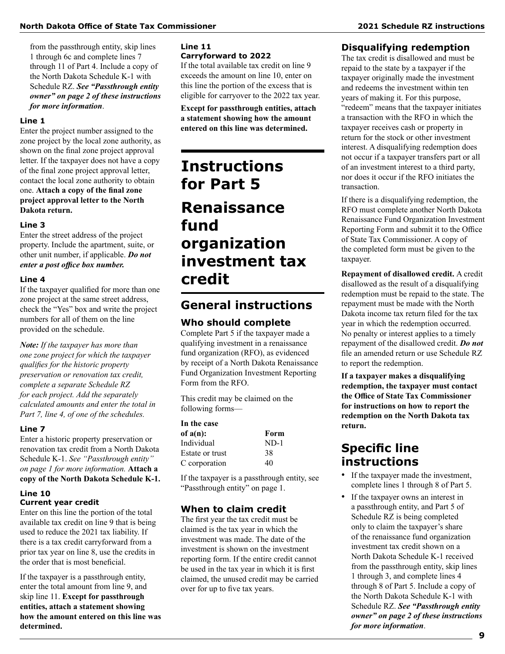from the passthrough entity, skip lines 1 through 6c and complete lines 7 through 11 of Part 4. Include a copy of the North Dakota Schedule K-1 with Schedule RZ. *See "Passthrough entity owner" on page 2 of these instructions for more information*.

### **Line 1**

Enter the project number assigned to the zone project by the local zone authority, as shown on the final zone project approval letter. If the taxpayer does not have a copy of the final zone project approval letter, contact the local zone authority to obtain one. **Attach a copy of the final zone project approval letter to the North Dakota return.**

#### **Line 3**

Enter the street address of the project property. Include the apartment, suite, or other unit number, if applicable. *Do not enter a post office box number.*

#### **Line 4**

If the taxpayer qualified for more than one zone project at the same street address, check the "Yes" box and write the project numbers for all of them on the line provided on the schedule.

*Note: If the taxpayer has more than one zone project for which the taxpayer qualifies for the historic property preservation or renovation tax credit, complete a separate Schedule RZ for each project. Add the separately calculated amounts and enter the total in Part 7, line 4, of one of the schedules.*

#### **Line 7**

Enter a historic property preservation or renovation tax credit from a North Dakota Schedule K-1. *See "Passthrough entity" on page 1 for more information.* **Attach a copy of the North Dakota Schedule K-1.**

### **Line 10 Current year credit**

Enter on this line the portion of the total available tax credit on line 9 that is being used to reduce the 2021 tax liability. If there is a tax credit carryforward from a prior tax year on line 8, use the credits in the order that is most beneficial.

If the taxpayer is a passthrough entity, enter the total amount from line 9, and skip line 11. **Except for passthrough entities, attach a statement showing how the amount entered on this line was determined.**

### **Line 11 Carryforward to 2022**

If the total available tax credit on line 9 exceeds the amount on line 10, enter on this line the portion of the excess that is eligible for carryover to the 2022 tax year.

**Except for passthrough entities, attach a statement showing how the amount entered on this line was determined.**

## **Instructions for Part 5 Renaissance fund organization investment tax credit**

### **General instructions**

### **Who should complete**

Complete Part 5 if the taxpayer made a qualifying investment in a renaissance fund organization (RFO), as evidenced by receipt of a North Dakota Renaissance Fund Organization Investment Reporting Form from the RFO.

This credit may be claimed on the following forms—

| In the case     |        |  |
|-----------------|--------|--|
| of $a(n)$ :     | Form   |  |
| Individual      | $ND-1$ |  |
| Estate or trust | 38     |  |
| C corporation   | 40     |  |

If the taxpayer is a passthrough entity, see "Passthrough entity" on page 1.

### **When to claim credit**

The first year the tax credit must be claimed is the tax year in which the investment was made. The date of the investment is shown on the investment reporting form. If the entire credit cannot be used in the tax year in which it is first claimed, the unused credit may be carried over for up to five tax years.

### **Disqualifying redemption**

The tax credit is disallowed and must be repaid to the state by a taxpayer if the taxpayer originally made the investment and redeems the investment within ten years of making it. For this purpose, "redeem" means that the taxpayer initiates a transaction with the RFO in which the taxpayer receives cash or property in return for the stock or other investment interest. A disqualifying redemption does not occur if a taxpayer transfers part or all of an investment interest to a third party, nor does it occur if the RFO initiates the transaction.

If there is a disqualifying redemption, the RFO must complete another North Dakota Renaissance Fund Organization Investment Reporting Form and submit it to the Office of State Tax Commissioner. A copy of the completed form must be given to the taxpayer.

**Repayment of disallowed credit.** A credit disallowed as the result of a disqualifying redemption must be repaid to the state. The repayment must be made with the North Dakota income tax return filed for the tax year in which the redemption occurred. No penalty or interest applies to a timely repayment of the disallowed credit. *Do not* file an amended return or use Schedule RZ to report the redemption.

**If a taxpayer makes a disqualifying redemption, the taxpayer must contact the Office of State Tax Commissioner for instructions on how to report the redemption on the North Dakota tax return.**

### **Specific line instructions**

- If the taxpayer made the investment, complete lines 1 through 8 of Part 5.
- If the taxpayer owns an interest in a passthrough entity, and Part 5 of Schedule RZ is being completed only to claim the taxpayer's share of the renaissance fund organization investment tax credit shown on a North Dakota Schedule K-1 received from the passthrough entity, skip lines 1 through 3, and complete lines 4 through 8 of Part 5. Include a copy of the North Dakota Schedule K-1 with Schedule RZ. *See "Passthrough entity owner" on page 2 of these instructions for more information*.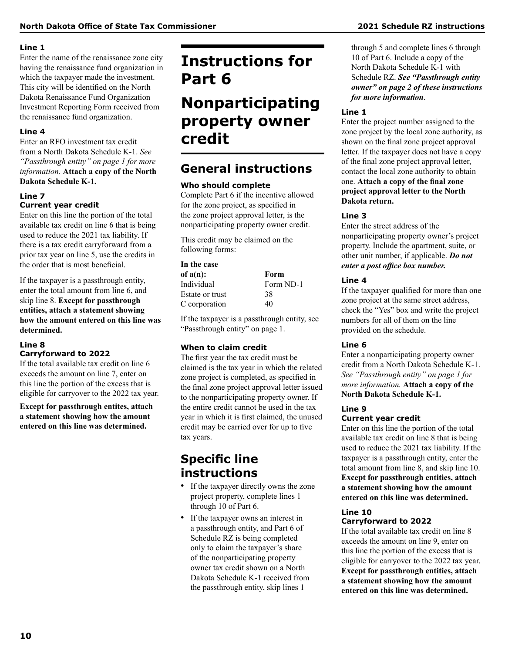#### **Line 1**

Enter the name of the renaissance zone city having the renaissance fund organization in which the taxpayer made the investment. This city will be identified on the North Dakota Renaissance Fund Organization Investment Reporting Form received from the renaissance fund organization.

### **Line 4**

Enter an RFO investment tax credit from a North Dakota Schedule K-1. *See "Passthrough entity" on page 1 for more information.* **Attach a copy of the North Dakota Schedule K-1.**

### **Line 7**

### **Current year credit**

Enter on this line the portion of the total available tax credit on line 6 that is being used to reduce the 2021 tax liability. If there is a tax credit carryforward from a prior tax year on line 5, use the credits in the order that is most beneficial.

If the taxpayer is a passthrough entity, enter the total amount from line 6, and skip line 8. **Except for passthrough entities, attach a statement showing how the amount entered on this line was determined.**

#### **Line 8 Carryforward to 2022**

If the total available tax credit on line 6 exceeds the amount on line 7, enter on this line the portion of the excess that is eligible for carryover to the 2022 tax year.

**Except for passthrough entites, attach a statement showing how the amount entered on this line was determined.**

## **Instructions for Part 6**

## **Nonparticipating property owner credit**

### **General instructions**

### **Who should complete**

Complete Part 6 if the incentive allowed for the zone project, as specified in the zone project approval letter, is the nonparticipating property owner credit.

This credit may be claimed on the following forms:

### **In the case of a(n): Form**

| Form ND-1 |  |
|-----------|--|
| 38        |  |
| 40        |  |
|           |  |

If the taxpayer is a passthrough entity, see "Passthrough entity" on page 1.

### **When to claim credit**

The first year the tax credit must be claimed is the tax year in which the related zone project is completed, as specified in the final zone project approval letter issued to the nonparticipating property owner. If the entire credit cannot be used in the tax year in which it is first claimed, the unused credit may be carried over for up to five tax years.

### **Specific line instructions**

- If the taxpayer directly owns the zone project property, complete lines 1 through 10 of Part 6.
- If the taxpayer owns an interest in a passthrough entity, and Part 6 of Schedule RZ is being completed only to claim the taxpayer's share of the nonparticipating property owner tax credit shown on a North Dakota Schedule K-1 received from the passthrough entity, skip lines 1

### through 5 and complete lines 6 through 10 of Part 6. Include a copy of the North Dakota Schedule K-1 with Schedule RZ. *See "Passthrough entity owner" on page 2 of these instructions for more information*.

### **Line 1**

Enter the project number assigned to the zone project by the local zone authority, as shown on the final zone project approval letter. If the taxpayer does not have a copy of the final zone project approval letter, contact the local zone authority to obtain one. **Attach a copy of the final zone project approval letter to the North Dakota return.**

### **Line 3**

Enter the street address of the nonparticipating property owner's project property. Include the apartment, suite, or other unit number, if applicable. *Do not enter a post office box number.*

### **Line 4**

If the taxpayer qualified for more than one zone project at the same street address, check the "Yes" box and write the project numbers for all of them on the line provided on the schedule.

### **Line 6**

Enter a nonparticipating property owner credit from a North Dakota Schedule K-1. *See "Passthrough entity" on page 1 for more information.* **Attach a copy of the North Dakota Schedule K-1.**

#### **Line 9 Current year credit**

Enter on this line the portion of the total available tax credit on line 8 that is being used to reduce the 2021 tax liability. If the taxpayer is a passthrough entity, enter the total amount from line 8, and skip line 10. **Except for passthrough entities, attach a statement showing how the amount entered on this line was determined.**

#### **Line 10 Carryforward to 2022**

If the total available tax credit on line 8 exceeds the amount on line 9, enter on this line the portion of the excess that is eligible for carryover to the 2022 tax year. **Except for passthrough entities, attach a statement showing how the amount entered on this line was determined.**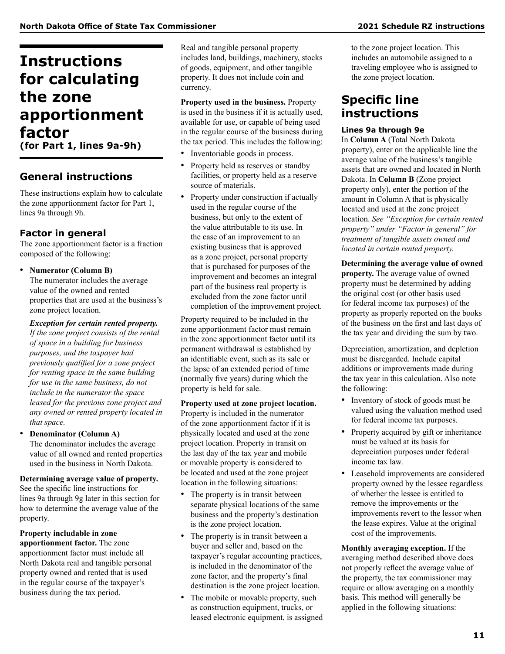## **Instructions for calculating the zone apportionment factor**

**(for Part 1, lines 9a-9h)**

### **General instructions**

These instructions explain how to calculate the zone apportionment factor for Part 1, lines 9a through 9h.

### **Factor in general**

The zone apportionment factor is a fraction composed of the following:

• **Numerator (Column B)**

The numerator includes the average value of the owned and rented properties that are used at the business's zone project location.

### *Exception for certain rented property.*

*If the zone project consists of the rental of space in a building for business purposes, and the taxpayer had previously qualified for a zone project for renting space in the same building for use in the same business, do not include in the numerator the space leased for the previous zone project and any owned or rented property located in that space.*

• **Denominator (Column A)** The denominator includes the average value of all owned and rented properties used in the business in North Dakota.

**Determining average value of property.**  See the specific line instructions for lines 9a through 9g later in this section for how to determine the average value of the property.

**Property includable in zone apportionment factor.** The zone apportionment factor must include all North Dakota real and tangible personal property owned and rented that is used in the regular course of the taxpayer's business during the tax period.

Real and tangible personal property includes land, buildings, machinery, stocks of goods, equipment, and other tangible property. It does not include coin and currency.

**Property used in the business.** Property is used in the business if it is actually used, available for use, or capable of being used in the regular course of the business during the tax period. This includes the following:

- Inventoriable goods in process.
- Property held as reserves or standby facilities, or property held as a reserve source of materials.
- Property under construction if actually used in the regular course of the business, but only to the extent of the value attributable to its use. In the case of an improvement to an existing business that is approved as a zone project, personal property that is purchased for purposes of the improvement and becomes an integral part of the business real property is excluded from the zone factor until completion of the improvement project.

Property required to be included in the zone apportionment factor must remain in the zone apportionment factor until its permanent withdrawal is established by an identifiable event, such as its sale or the lapse of an extended period of time (normally five years) during which the property is held for sale.

**Property used at zone project location.** Property is included in the numerator of the zone apportionment factor if it is physically located and used at the zone project location. Property in transit on the last day of the tax year and mobile or movable property is considered to be located and used at the zone project location in the following situations:

- The property is in transit between separate physical locations of the same business and the property's destination is the zone project location.
- The property is in transit between a buyer and seller and, based on the taxpayer's regular accounting practices, is included in the denominator of the zone factor, and the property's final destination is the zone project location.
- The mobile or movable property, such as construction equipment, trucks, or leased electronic equipment, is assigned

to the zone project location. This includes an automobile assigned to a traveling employee who is assigned to the zone project location.

### **Specific line instructions**

### **Lines 9a through 9e**

In **Column A** (Total North Dakota property), enter on the applicable line the average value of the business's tangible assets that are owned and located in North Dakota. In **Column B** (Zone project property only), enter the portion of the amount in Column A that is physically located and used at the zone project location. *See "Exception for certain rented property" under "Factor in general" for treatment of tangible assets owned and located in certain rented property.*

**Determining the average value of owned property.** The average value of owned property must be determined by adding the original cost (or other basis used for federal income tax purposes) of the property as properly reported on the books of the business on the first and last days of the tax year and dividing the sum by two.

Depreciation, amortization, and depletion must be disregarded. Include capital additions or improvements made during the tax year in this calculation. Also note the following:

- Inventory of stock of goods must be valued using the valuation method used for federal income tax purposes.
- Property acquired by gift or inheritance must be valued at its basis for depreciation purposes under federal income tax law.
- Leasehold improvements are considered property owned by the lessee regardless of whether the lessee is entitled to remove the improvements or the improvements revert to the lessor when the lease expires. Value at the original cost of the improvements.

**Monthly averaging exception.** If the averaging method described above does not properly reflect the average value of the property, the tax commissioner may require or allow averaging on a monthly basis. This method will generally be applied in the following situations: